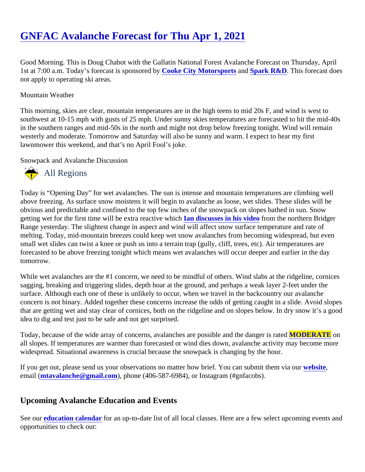Good Morning. This is Doug Chabot with the Gallatin National Forest Avalanche Forecast on Thursday, April 1st at 7:00 a.m. Today's forecast is sponsored by ke City Motorsports and [Spark R&D](http://www.sparkrandd.com/). This forecast does not apply to operating ski areas.

## Mountain Weather

This morning, skies are clear, mountain temperatures are in the high teens to mid 20s F, and wind is west to southwest at 10-15 mph with gusts of 25 mph. Under sunny skies temperatures are forecasted to hit the midin the southern ranges and mid-50s in the north and might not drop below freezing tonight. Wind will remain westerly and moderate. Tomorrow and Saturday will also be sunny and warm. I expect to hear my first lawnmower this weekend, and that's no April Fool's joke.

## Snowpack and Avalanche Discussion

## All Regions

Today is "Opening Day" for wet avalanches. The sun is intense and mountain temperatures are climbing well above freezing. As surface snow moistens it will begin to avalanche as loose, wet slides. These slides will be obvious and predictable and confined to the top few inches of the snowpack on slopes bathed in sun. Snow gettingwet for the first time will be extra reactive whlah discusses in his videdrom the northern Bridger Range yesterday. The slightest change in aspect and wind will affect snow surface temperature and rate of melting. Today, mid-mountain breezes could keep wet snow avalanches from becoming widespread, but even small wet slides can twist a knee or push us into a terrain trap (gully, cliff, trees, etc). Air temperatures are forecasted to be above freezing tonight which means wet avalanches will occur deeper and earlier in the day tomorrow.

While wet avalanches are the #1 concern, we need to be mindful of others. Wind slabs at the ridgeline, cornic sagging, breaking and triggering slides, depth hoar at the ground, and perhaps a weak layer 2-feet under the surface. Although each one of these is unlikely to occur, when we travel in the backcountry our avalanche concern is not binary. Added together these concerns increase the odds of getting caught in a slide. Avoid slo that are getting wet and stay clear of cornices, both on the ridgeline and on slopes below. In dry snow it's a go idea to dig and test just to be safe and not get surprised.

Today, because of the wide array of concerns, avalanches are possible and the dang MODERATE on all slopes. If temperatures are warmer than forecasted or wind dies down, avalanche activity may become more widespread. Situational awareness is crucial because the snowpack is changing by the hour.

If you get out, please send us your observations no matter how brief. You can submit them velasing email [\(mtavalanche@gmail.com](mailto:mtavalanche@gmail.com)), phone (406-587-6984), or Instagram (#gnfacobs).

## Upcoming Avalanche Education and Events

See oureducation calendarfor an up-to-date list of all local classes. Here are a few select upcoming events an opportunities to check out: